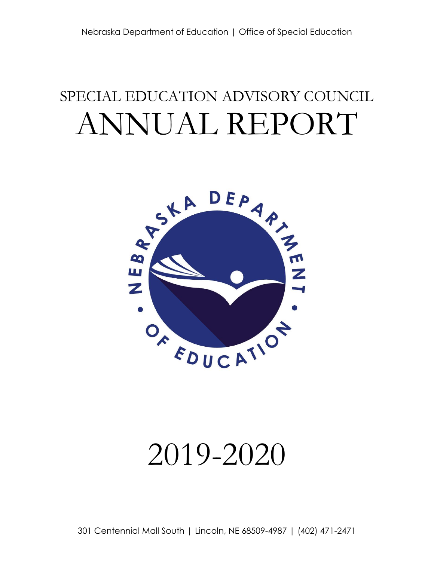## SPECIAL EDUCATION ADVISORY COUNCIL ANNUAL REPORT



# 2019-2020

301 Centennial Mall South | Lincoln, NE 68509-4987 | (402) 471-2471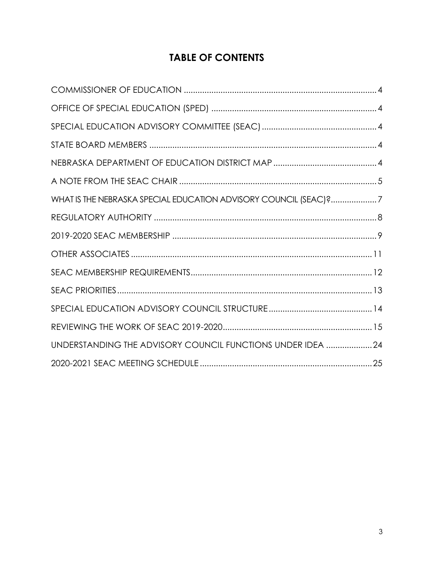## **TABLE OF CONTENTS**

| WHAT IS THE NEBRASKA SPECIAL EDUCATION ADVISORY COUNCIL (SEAC)?7 |  |
|------------------------------------------------------------------|--|
|                                                                  |  |
|                                                                  |  |
|                                                                  |  |
|                                                                  |  |
|                                                                  |  |
|                                                                  |  |
|                                                                  |  |
| UNDERSTANDING THE ADVISORY COUNCIL FUNCTIONS UNDER IDEA 24       |  |
|                                                                  |  |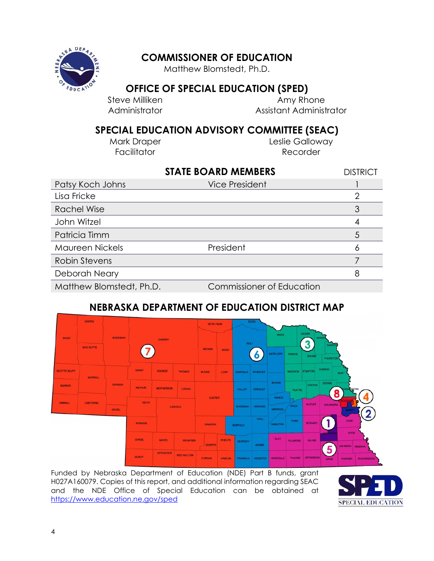<span id="page-3-1"></span>

## <span id="page-3-0"></span>**COMMISSIONER OF EDUCATION**

Matthew Blomstedt, Ph.D.

## **OFFICE OF SPECIAL EDUCATION (SPED)**

Steve Milliken **Amy Rhone** Administrator Assistant Administrator

## <span id="page-3-2"></span>**SPECIAL EDUCATION ADVISORY COMMITTEE (SEAC)**

<span id="page-3-3"></span>

Mark Draper **Leslie Galloway** Facilitator **Recorder** 

|                          | <b>STATE BOARD MEMBERS</b>       | <b>DISTRICT</b> |
|--------------------------|----------------------------------|-----------------|
| Patsy Koch Johns         | <b>Vice President</b>            |                 |
| Lisa Fricke              |                                  | 2               |
| <b>Rachel Wise</b>       |                                  |                 |
| John Witzel              |                                  |                 |
| Patricia Timm            |                                  | 5               |
| Maureen Nickels          | President                        |                 |
| <b>Robin Stevens</b>     |                                  |                 |
| Deborah Neary            |                                  | 8               |
| Matthew Blomstedt, Ph.D. | <b>Commissioner of Education</b> |                 |

## **NEBRASKA DEPARTMENT OF EDUCATION DISTRICT MAP**

<span id="page-3-4"></span>

Funded by Nebraska Department of Education (NDE) Part B funds, grant H027A160079. Copies of this report, and additional information regarding SEAC and the NDE Office of Special Education can be obtained at <https://www.education.ne.gov/sped>

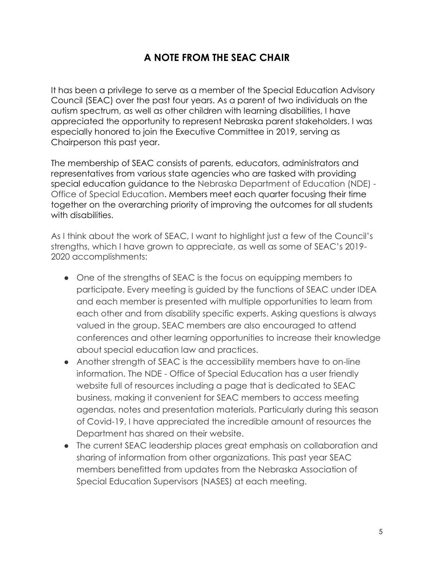## **A NOTE FROM THE SEAC CHAIR**

<span id="page-4-0"></span>It has been a privilege to serve as a member of the Special Education Advisory Council (SEAC) over the past four years. As a parent of two individuals on the autism spectrum, as well as other children with learning disabilities, I have appreciated the opportunity to represent Nebraska parent stakeholders. I was especially honored to join the Executive Committee in 2019, serving as Chairperson this past year.

The membership of SEAC consists of parents, educators, administrators and representatives from various state agencies who are tasked with providing special education guidance to the Nebraska Department of Education (NDE) - Office of Special Education. Members meet each quarter focusing their time together on the overarching priority of improving the outcomes for all students with disabilities.

As I think about the work of SEAC, I want to highlight just a few of the Council's strengths, which I have grown to appreciate, as well as some of SEAC's 2019- 2020 accomplishments:

- One of the strengths of SEAC is the focus on equipping members to participate. Every meeting is guided by the functions of SEAC under IDEA and each member is presented with multiple opportunities to learn from each other and from disability specific experts. Asking questions is always valued in the group. SEAC members are also encouraged to attend conferences and other learning opportunities to increase their knowledge about special education law and practices.
- Another strength of SEAC is the accessibility members have to on-line information. The NDE - Office of Special Education has a user friendly website full of resources including a page that is dedicated to SEAC business, making it convenient for SEAC members to access meeting agendas, notes and presentation materials. Particularly during this season of Covid-19, I have appreciated the incredible amount of resources the Department has shared on their website.
- The current SEAC leadership places great emphasis on collaboration and sharing of information from other organizations. This past year SEAC members benefitted from updates from the Nebraska Association of Special Education Supervisors (NASES) at each meeting.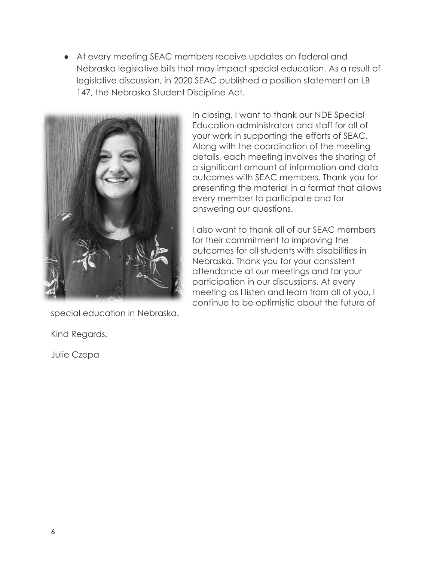● At every meeting SEAC members receive updates on federal and Nebraska legislative bills that may impact special education. As a result of legislative discussion, in 2020 SEAC published a position statement on LB 147, the Nebraska Student Discipline Act.



special education in Nebraska.

Kind Regards,

Julie Czepa

In closing, I want to thank our NDE Special Education administrators and staff for all of your work in supporting the efforts of SEAC. Along with the coordination of the meeting details, each meeting involves the sharing of a significant amount of information and data outcomes with SEAC members. Thank you for presenting the material in a format that allows every member to participate and for answering our questions.

I also want to thank all of our SEAC members for their commitment to improving the outcomes for all students with disabilities in Nebraska. Thank you for your consistent attendance at our meetings and for your participation in our discussions. At every meeting as I listen and learn from all of you, I continue to be optimistic about the future of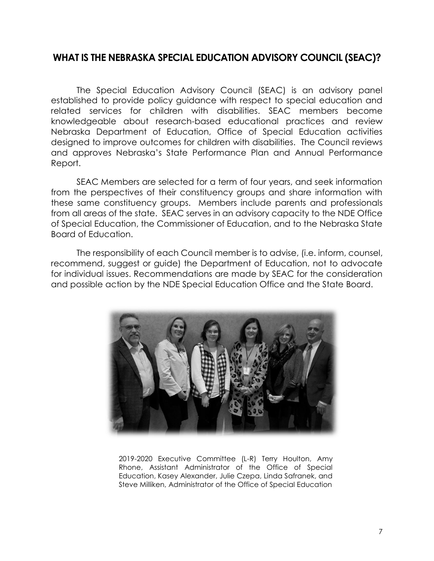### <span id="page-6-0"></span>**WHAT IS THE NEBRASKA SPECIAL EDUCATION ADVISORY COUNCIL (SEAC)?**

The Special Education Advisory Council (SEAC) is an advisory panel established to provide policy guidance with respect to special education and related services for children with disabilities. SEAC members become knowledgeable about research-based educational practices and review Nebraska Department of Education, Office of Special Education activities designed to improve outcomes for children with disabilities. The Council reviews and approves Nebraska's State Performance Plan and Annual Performance Report.

SEAC Members are selected for a term of four years, and seek information from the perspectives of their constituency groups and share information with these same constituency groups. Members include parents and professionals from all areas of the state. SEAC serves in an advisory capacity to the NDE Office of Special Education, the Commissioner of Education, and to the Nebraska State Board of Education.

The responsibility of each Council member is to advise, (i.e. inform, counsel, recommend, suggest or guide) the Department of Education, not to advocate for individual issues. Recommendations are made by SEAC for the consideration and possible action by the NDE Special Education Office and the State Board.



2019-2020 Executive Committee (L-R) Terry Houlton, Amy Rhone, Assistant Administrator of the Office of Special Education, Kasey Alexander, Julie Czepa, Linda Safranek, and Steve Milliken, Administrator of the Office of Special Education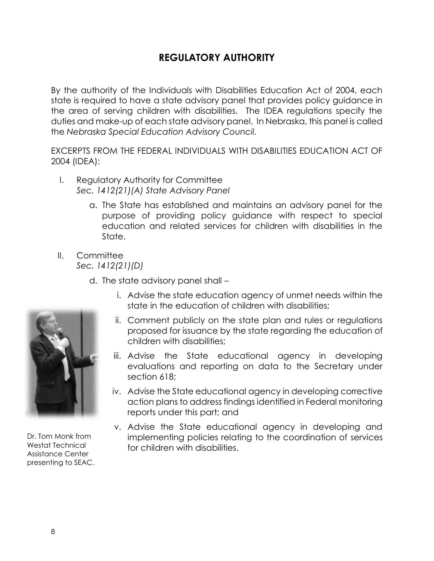## **REGULATORY AUTHORITY**

<span id="page-7-0"></span>By the authority of the Individuals with Disabilities Education Act of 2004, each state is required to have a state advisory panel that provides policy guidance in the area of serving children with disabilities. The IDEA regulations specify the duties and make-up of each state advisory panel. In Nebraska, this panel is called the *Nebraska Special Education Advisory Council.*

EXCERPTS FROM THE FEDERAL INDIVIDUALS WITH DISABILITIES EDUCATION ACT OF 2004 (IDEA):

- I. Regulatory Authority for Committee *Sec. 1412(21)(A) State Advisory Panel*
	- a. The State has established and maintains an advisory panel for the purpose of providing policy guidance with respect to special education and related services for children with disabilities in the State.
- II. Committee *Sec. 1412(21)(D)*
	- d. The state advisory panel shall
		- i. Advise the state education agency of unmet needs within the state in the education of children with disabilities;
		- ii. Comment publicly on the state plan and rules or regulations proposed for issuance by the state regarding the education of children with disabilities;
		- iii. Advise the State educational agency in developing evaluations and reporting on data to the Secretary under section 618;
		- iv. Advise the State educational agency in developing corrective action plans to address findings identified in Federal monitoring reports under this part; and
		- v. Advise the State educational agency in developing and implementing policies relating to the coordination of services for children with disabilities.



Dr. Tom Monk from Westat Technical Assistance Center presenting to SEAC.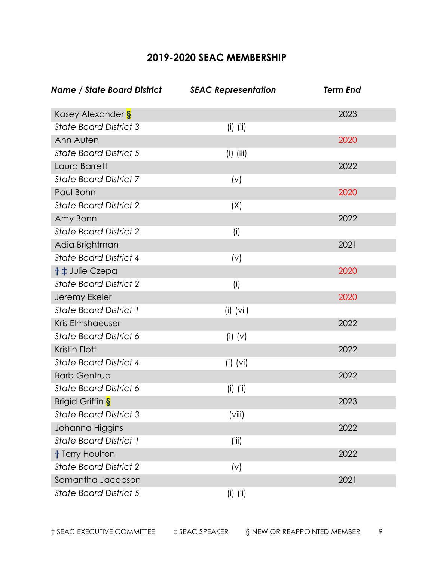## **2019-2020 SEAC MEMBERSHIP**

<span id="page-8-0"></span>

| Name / State Board District   | <b>SEAC Representation</b> | <b>Term End</b> |
|-------------------------------|----------------------------|-----------------|
| Kasey Alexander S             |                            | 2023            |
| <b>State Board District 3</b> | $(i)$ (ii)                 |                 |
| Ann Auten                     |                            | 2020            |
| <b>State Board District 5</b> | $(i)$ (iii)                |                 |
| Laura Barrett                 |                            | 2022            |
| <b>State Board District 7</b> | (v)                        |                 |
| Paul Bohn                     |                            | 2020            |
| <b>State Board District 2</b> | (X)                        |                 |
| Amy Bonn                      |                            | 2022            |
| <b>State Board District 2</b> | (i)                        |                 |
| Adia Brightman                |                            | 2021            |
| <b>State Board District 4</b> | (v)                        |                 |
| + ± Julie Czepa               |                            | 2020            |
| <b>State Board District 2</b> | (i)                        |                 |
| Jeremy Ekeler                 |                            | 2020            |
| <b>State Board District 1</b> | $(i)$ (vii)                |                 |
| Kris Elmshaeuser              |                            | 2022            |
| <b>State Board District 6</b> | $(i)$ $(v)$                |                 |
| Kristin Flott                 |                            | 2022            |
| <b>State Board District 4</b> | $(i)$ (vi)                 |                 |
| <b>Barb Gentrup</b>           |                            | 2022            |
| <b>State Board District 6</b> | $(i)$ $(ii)$               |                 |
| Brigid Griffin S              |                            | 2023            |
| <b>State Board District 3</b> | (viii)                     |                 |
| Johanna Higgins               |                            | 2022            |
| <b>State Board District 1</b> | (iii)                      |                 |
| <b>† Terry Houlton</b>        |                            | 2022            |
| <b>State Board District 2</b> | (v)                        |                 |
| Samantha Jacobson             |                            | 2021            |
| <b>State Board District 5</b> | $(i)$ $(ii)$               |                 |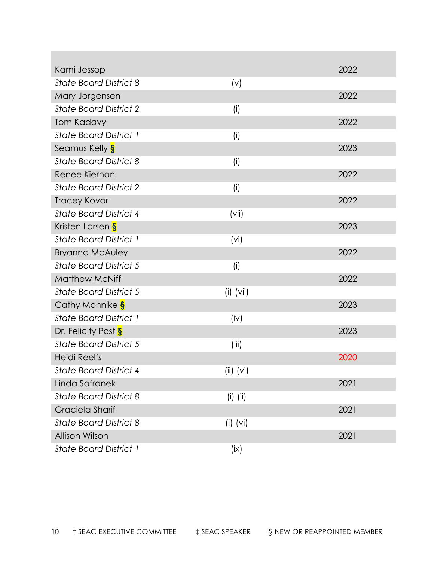| Kami Jessop                   |             | 2022 |
|-------------------------------|-------------|------|
| <b>State Board District 8</b> | (v)         |      |
| Mary Jorgensen                |             | 2022 |
| <b>State Board District 2</b> | (i)         |      |
| <b>Tom Kadavy</b>             |             | 2022 |
| <b>State Board District 1</b> | (i)         |      |
| Seamus Kelly S                |             | 2023 |
| <b>State Board District 8</b> | (i)         |      |
| Renee Kiernan                 |             | 2022 |
| <b>State Board District 2</b> | (i)         |      |
| <b>Tracey Kovar</b>           |             | 2022 |
| <b>State Board District 4</b> | (vii)       |      |
| Kristen Larsen S              |             | 2023 |
| <b>State Board District 1</b> | (vi)        |      |
| <b>Bryanna McAuley</b>        |             | 2022 |
| <b>State Board District 5</b> | (i)         |      |
| <b>Matthew McNiff</b>         |             | 2022 |
| <b>State Board District 5</b> | $(i)$ (vii) |      |
| Cathy Mohnike S               |             | 2023 |
| <b>State Board District 1</b> | (iv)        |      |
| Dr. Felicity Post S           |             | 2023 |
| <b>State Board District 5</b> | (iii)       |      |
| <b>Heidi Reelfs</b>           |             | 2020 |
| State Board District 4        | $(ii)$ (vi) |      |
| Linda Safranek                |             | 2021 |
| <b>State Board District 8</b> | $(i)$ (ii)  |      |
| Graciela Sharif               |             | 2021 |
| <b>State Board District 8</b> | $(i)$ (vi)  |      |
| Allison Wilson                |             | 2021 |
| <b>State Board District 1</b> | (ix)        |      |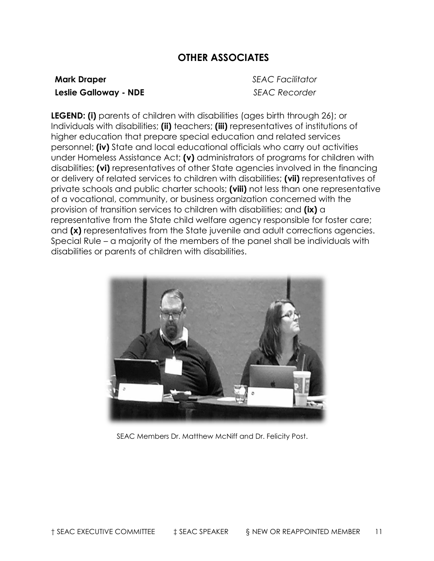## **OTHER ASSOCIATES**

#### <span id="page-10-0"></span>**Mark Draper** *SEAC Facilitator* **Leslie Galloway - NDE** *SEAC Recorder*

**LEGEND: (i)** parents of children with disabilities (ages birth through 26); or Individuals with disabilities; **(ii)** teachers; **(iii)** representatives of institutions of higher education that prepare special education and related services personnel; **(iv)** State and local educational officials who carry out activities under Homeless Assistance Act; **(v)** administrators of programs for children with disabilities; **(vi)** representatives of other State agencies involved in the financing or delivery of related services to children with disabilities; **(vii)** representatives of private schools and public charter schools; **(viii)** not less than one representative of a vocational, community, or business organization concerned with the provision of transition services to children with disabilities; and **(ix)** a representative from the State child welfare agency responsible for foster care; and **(x)** representatives from the State juvenile and adult corrections agencies. Special Rule – a majority of the members of the panel shall be individuals with disabilities or parents of children with disabilities.



SEAC Members Dr. Matthew McNiff and Dr. Felicity Post.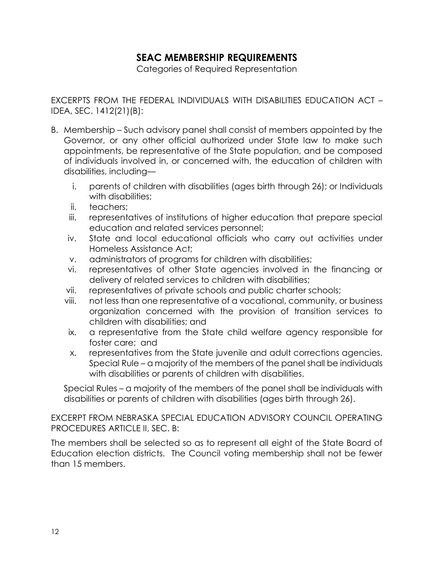## **SEAC MEMBERSHIP REQUIREMENTS**

Categories of Required Representation

<span id="page-11-0"></span>EXCERPTS FROM THE FEDERAL INDIVIDUALS WITH DISABILITIES EDUCATION ACT – IDEA, SEC. 1412(21)(B):

- B. Membership Such advisory panel shall consist of members appointed by the Governor, or any other official authorized under State law to make such appointments, be representative of the State population, and be composed of individuals involved in, or concerned with, the education of children with disabilities, including
	- i. parents of children with disabilities (ages birth through 26); or Individuals with disabilities:
	- ii. teachers;
	- iii. representatives of institutions of higher education that prepare special education and related services personnel;
	- iv. State and local educational officials who carry out activities under Homeless Assistance Act;
	- v. administrators of programs for children with disabilities;
	- vi. representatives of other State agencies involved in the financing or delivery of related services to children with disabilities;
	- vii. representatives of private schools and public charter schools;
	- viii. not less than one representative of a vocational, community, or business organization concerned with the provision of transition services to children with disabilities; and
	- ix. a representative from the State child welfare agency responsible for foster care; and
	- x. representatives from the State juvenile and adult corrections agencies. Special Rule – a majority of the members of the panel shall be individuals with disabilities or parents of children with disabilities.

Special Rules – a majority of the members of the panel shall be individuals with disabilities or parents of children with disabilities (ages birth through 26).

EXCERPT FROM NEBRASKA SPECIAL EDUCATION ADVISORY COUNCIL OPERATING PROCEDURES ARTICLE II, SEC. B:

The members shall be selected so as to represent all eight of the State Board of Education election districts. The Council voting membership shall not be fewer than 15 members.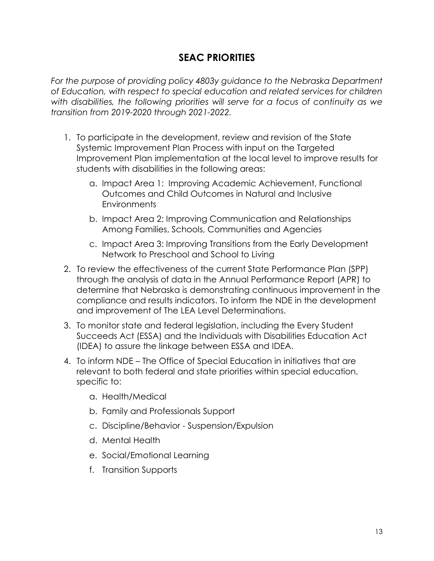## **SEAC PRIORITIES**

<span id="page-12-0"></span>For the purpose of providing policy 4803y guidance to the Nebraska Department *of Education, with respect to special education and related services for children with disabilities, the following priorities will serve for a focus of continuity as we transition from 2019-2020 through 2021-2022.*

- 1. To participate in the development, review and revision of the State Systemic Improvement Plan Process with input on the Targeted Improvement Plan implementation at the local level to improve results for students with disabilities in the following areas:
	- a. Impact Area 1: Improving Academic Achievement, Functional Outcomes and Child Outcomes in Natural and Inclusive **Environments**
	- b. Impact Area 2: Improving Communication and Relationships Among Families, Schools, Communities and Agencies
	- c. Impact Area 3: Improving Transitions from the Early Development Network to Preschool and School to Living
- 2. To review the effectiveness of the current State Performance Plan (SPP) through the analysis of data in the Annual Performance Report (APR) to determine that Nebraska is demonstrating continuous improvement in the compliance and results indicators. To inform the NDE in the development and improvement of The LEA Level Determinations.
- 3. To monitor state and federal legislation, including the Every Student Succeeds Act (ESSA) and the Individuals with Disabilities Education Act (IDEA) to assure the linkage between ESSA and IDEA.
- 4. To inform NDE The Office of Special Education in initiatives that are relevant to both federal and state priorities within special education, specific to:
	- a. Health/Medical
	- b. Family and Professionals Support
	- c. Discipline/Behavior Suspension/Expulsion
	- d. Mental Health
	- e. Social/Emotional Learning
	- f. Transition Supports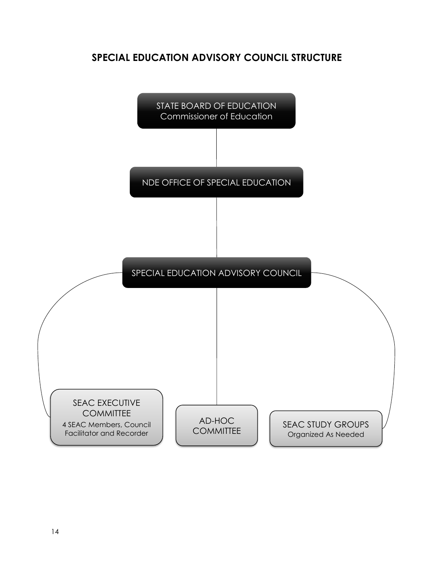## <span id="page-13-0"></span>**SPECIAL EDUCATION ADVISORY COUNCIL STRUCTURE**

STATE BOARD OF EDUCATION Commissioner of Education NDE OFFICE OF SPECIAL EDUCATION SPECIAL EDUCATION ADVISORY COUNCIL SEAC EXECUTIVE **COMMITTEE** 4 SEAC Members, Council Facilitator and Recorder AD-HOC **COMMITTEE** SEAC STUDY GROUPS Organized As Needed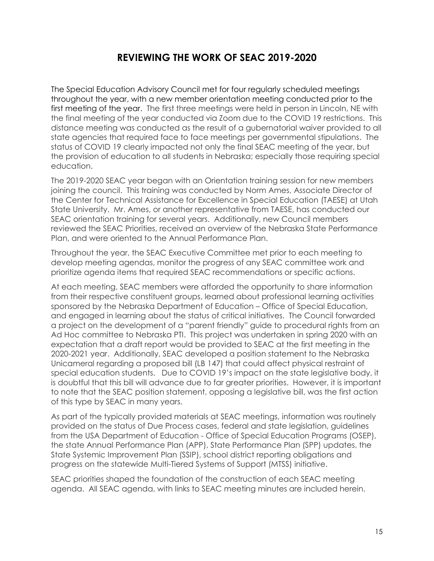## **REVIEWING THE WORK OF SEAC 2019-2020**

<span id="page-14-0"></span>The Special Education Advisory Council met for four regularly scheduled meetings throughout the year, with a new member orientation meeting conducted prior to the first meeting of the year. The first three meetings were held in person in Lincoln, NE with the final meeting of the year conducted via Zoom due to the COVID 19 restrictions. This distance meeting was conducted as the result of a gubernatorial waiver provided to all state agencies that required face to face meetings per governmental stipulations. The status of COVID 19 clearly impacted not only the final SEAC meeting of the year, but the provision of education to all students in Nebraska; especially those requiring special education.

The 2019-2020 SEAC year began with an Orientation training session for new members joining the council. This training was conducted by Norm Ames, Associate Director of the Center for Technical Assistance for Excellence in Special Education (TAESE) at Utah State University. Mr. Ames, or another representative from TAESE, has conducted our SEAC orientation training for several years. Additionally, new Council members reviewed the SEAC Priorities, received an overview of the Nebraska State Performance Plan, and were oriented to the Annual Performance Plan.

Throughout the year, the SEAC Executive Committee met prior to each meeting to develop meeting agendas, monitor the progress of any SEAC committee work and prioritize agenda items that required SEAC recommendations or specific actions.

At each meeting, SEAC members were afforded the opportunity to share information from their respective constituent groups, learned about professional learning activities sponsored by the Nebraska Department of Education – Office of Special Education, and engaged in learning about the status of critical initiatives. The Council forwarded a project on the development of a "parent friendly" guide to procedural rights from an Ad Hoc committee to Nebraska PTI. This project was undertaken in spring 2020 with an expectation that a draft report would be provided to SEAC at the first meeting in the 2020-2021 year. Additionally, SEAC developed a position statement to the Nebraska Unicameral regarding a proposed bill (LB 147) that could affect physical restraint of special education students. Due to COVID 19's impact on the state legislative body, it is doubtful that this bill will advance due to far greater priorities. However, it is important to note that the SEAC position statement, opposing a legislative bill, was the first action of this type by SEAC in many years.

As part of the typically provided materials at SEAC meetings, information was routinely provided on the status of Due Process cases, federal and state legislation, guidelines from the USA Department of Education - Office of Special Education Programs (OSEP), the state Annual Performance Plan (APP), State Performance Plan (SPP) updates, the State Systemic Improvement Plan (SSIP), school district reporting obligations and progress on the statewide Multi-Tiered Systems of Support (MTSS) initiative.

SEAC priorities shaped the foundation of the construction of each SEAC meeting agenda. All SEAC agenda, with links to SEAC meeting minutes are included herein.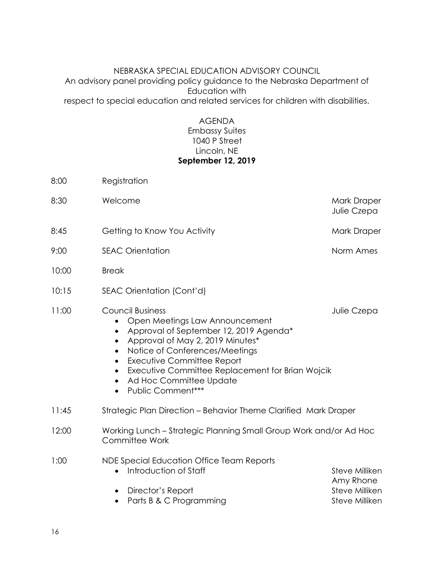#### NEBRASKA SPECIAL EDUCATION ADVISORY COUNCIL An advisory panel providing policy guidance to the Nebraska Department of Education with respect to special education and related services for children with disabilities.

#### AGENDA Embassy Suites 1040 P Street Lincoln, NE **September 12, 2019**

| 8:00  | Registration                                                                                                                                                                                                                                                                                                                                                                                            |                                                                 |
|-------|---------------------------------------------------------------------------------------------------------------------------------------------------------------------------------------------------------------------------------------------------------------------------------------------------------------------------------------------------------------------------------------------------------|-----------------------------------------------------------------|
| 8:30  | Welcome                                                                                                                                                                                                                                                                                                                                                                                                 | Mark Draper<br>Julie Czepa                                      |
| 8:45  | Getting to Know You Activity                                                                                                                                                                                                                                                                                                                                                                            | Mark Draper                                                     |
| 9:00  | <b>SEAC Orientation</b>                                                                                                                                                                                                                                                                                                                                                                                 | Norm Ames                                                       |
| 10:00 | <b>Break</b>                                                                                                                                                                                                                                                                                                                                                                                            |                                                                 |
| 10:15 | SEAC Orientation (Cont'd)                                                                                                                                                                                                                                                                                                                                                                               |                                                                 |
| 11:00 | <b>Council Business</b><br>Open Meetings Law Announcement<br>Approval of September 12, 2019 Agenda*<br>Approval of May 2, 2019 Minutes*<br>$\bullet$<br>Notice of Conferences/Meetings<br>$\bullet$<br><b>Executive Committee Report</b><br>$\bullet$<br>Executive Committee Replacement for Brian Wojcik<br>$\bullet$<br>Ad Hoc Committee Update<br>$\bullet$<br><b>Public Comment***</b><br>$\bullet$ | Julie Czepa                                                     |
| 11:45 | Strategic Plan Direction - Behavior Theme Clarified Mark Draper                                                                                                                                                                                                                                                                                                                                         |                                                                 |
| 12:00 | Working Lunch - Strategic Planning Small Group Work and/or Ad Hoc<br><b>Committee Work</b>                                                                                                                                                                                                                                                                                                              |                                                                 |
| 1:00  | NDE Special Education Office Team Reports<br>Introduction of Staff<br>Director's Report<br>Parts B & C Programming                                                                                                                                                                                                                                                                                      | Steve Milliken<br>Amy Rhone<br>Steve Milliken<br>Steve Milliken |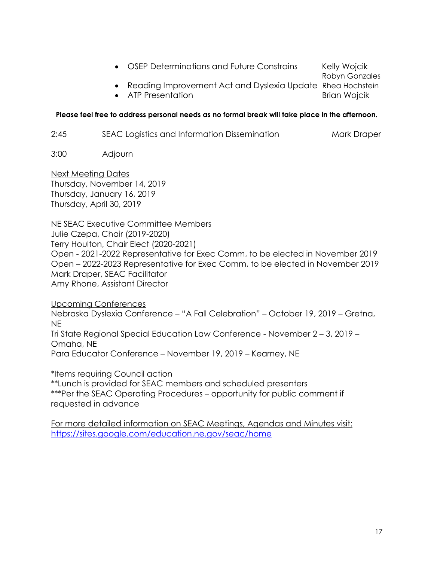• OSEP Determinations and Future Constrains Kelly Wojcik

Robyn Gonzales

 Reading Improvement Act and Dyslexia Update Rhea Hochstein • ATP Presentation **Brian Works Brian Wojcik** 

**Please feel free to address personal needs as no formal break will take place in the afternoon.**

2:45 SEAC Logistics and Information Dissemination Mark Draper

3:00 Adjourn

Next Meeting Dates Thursday, November 14, 2019 Thursday, January 16, 2019 Thursday, April 30, 2019

NE SEAC Executive Committee Members Julie Czepa, Chair (2019-2020) Terry Houlton, Chair Elect (2020-2021) Open - 2021-2022 Representative for Exec Comm, to be elected in November 2019 Open – 2022-2023 Representative for Exec Comm, to be elected in November 2019 Mark Draper, SEAC Facilitator Amy Rhone, Assistant Director

Upcoming Conferences Nebraska Dyslexia Conference – "A Fall Celebration" – October 19, 2019 – Gretna, NE Tri State Regional Special Education Law Conference - November 2 – 3, 2019 – Omaha, NE Para Educator Conference – November 19, 2019 – Kearney, NE

\*Items requiring Council action \*\*Lunch is provided for SEAC members and scheduled presenters \*\*\*Per the SEAC Operating Procedures – opportunity for public comment if requested in advance

For more detailed information on SEAC Meetings, Agendas and Minutes visit: https://sites.google.com/education.ne.gov/seac/home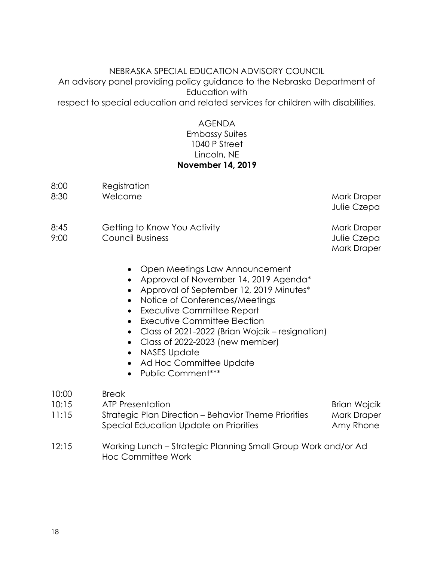#### NEBRASKA SPECIAL EDUCATION ADVISORY COUNCIL An advisory panel providing policy guidance to the Nebraska Department of Education with respect to special education and related services for children with disabilities.

#### AGENDA Embassy Suites 1040 P Street Lincoln, NE **November 14, 2019**

- 8:00 Registration 8:30 Welcome **Mark Draper** Mark Draper
	- Julie Czepa
- 8:45 Getting to Know You Activity **Mark Draper** Mark Draper
- 9:00 Council Business Council Business Council Business Council Business Council Business Council Business Council Business Council Business Council Business Council Business Council Business Council Business Council Busin

Mark Draper

- Open Meetings Law Announcement
- Approval of November 14, 2019 Agenda\*
- Approval of September 12, 2019 Minutes\*
- Notice of Conferences/Meetings
- Executive Committee Report
- Executive Committee Election
- Class of 2021-2022 (Brian Wojcik resignation)
- Class of 2022-2023 (new member)
- NASES Update
- Ad Hoc Committee Update
- Public Comment\*\*\*

#### 10:00 Break

- 10:15 ATP Presentation **Brian Works** Brian Wojcik
- 11:15 Strategic Plan Direction Behavior Theme Priorities Mark Draper Special Education Update on Priorities **Amy Rhone**
- 12:15 Working Lunch Strategic Planning Small Group Work and/or Ad Hoc Committee Work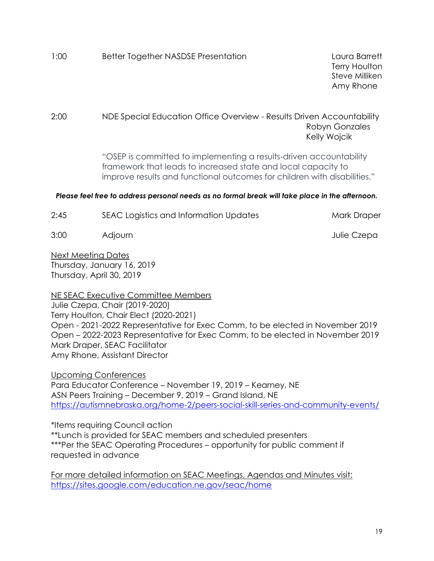1:00 Better Together NASDSE Presentation Laura Barrett

Terry Houlton Steve Milliken Amy Rhone

2:00 NDE Special Education Office Overview - Results Driven Accountability Robyn Gonzales Kelly Wojcik

> "OSEP is committed to implementing a results-driven accountability framework that leads to increased state and local capacity to improve results and functional outcomes for children with disabilities."

#### *Please feel free to address personal needs as no formal break will take place in the afternoon.*

| 2:45 | SEAC Logistics and Information Updates | Mark Draper |
|------|----------------------------------------|-------------|
| 3:00 | Adjourn                                | Julie Czepa |

Next Meeting Dates Thursday, January 16, 2019 Thursday, April 30, 2019

NE SEAC Executive Committee Members Julie Czepa, Chair (2019-2020) Terry Houlton, Chair Elect (2020-2021) Open - 2021-2022 Representative for Exec Comm, to be elected in November 2019 Open – 2022-2023 Representative for Exec Comm, to be elected in November 2019 Mark Draper, SEAC Facilitator Amy Rhone, Assistant Director

Upcoming Conferences Para Educator Conference – November 19, 2019 – Kearney, NE ASN Peers Training – December 9, 2019 – Grand Island, NE <https://autismnebraska.org/home-2/peers-social-skill-series-and-community-events/>

\*Items requiring Council action \*\*Lunch is provided for SEAC members and scheduled presenters \*\*\*Per the SEAC Operating Procedures – opportunity for public comment if requested in advance

For more detailed information on SEAC Meetings, Agendas and Minutes visit: <https://sites.google.com/education.ne.gov/seac/home>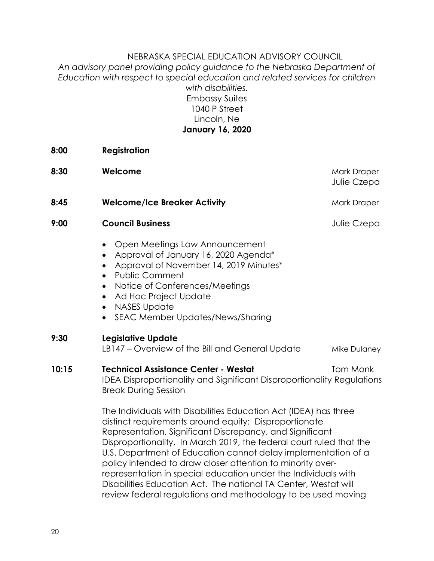#### NEBRASKA SPECIAL EDUCATION ADVISORY COUNCIL *An advisory panel providing policy guidance to the Nebraska Department of Education with respect to special education and related services for children with disabilities.* Embassy Suites 1040 P Street Lincoln, Ne **January 16, 2020**

**8:00 Registration**

| 8:30  | Welcome                                                                                                                                                                                                                                                                                                                       | Mark Draper<br>Julie Czepa |  |
|-------|-------------------------------------------------------------------------------------------------------------------------------------------------------------------------------------------------------------------------------------------------------------------------------------------------------------------------------|----------------------------|--|
| 8:45  | <b>Welcome/Ice Breaker Activity</b>                                                                                                                                                                                                                                                                                           | Mark Draper                |  |
| 9:00  | <b>Council Business</b>                                                                                                                                                                                                                                                                                                       | Julie Czepa                |  |
|       | Open Meetings Law Announcement<br>Approval of January 16, 2020 Agenda*<br>$\bullet$<br>Approval of November 14, 2019 Minutes*<br><b>Public Comment</b><br>Notice of Conferences/Meetings<br>$\bullet$<br>Ad Hoc Project Update<br><b>NASES Update</b><br>$\bullet$<br>SEAC Member Updates/News/Sharing<br>$\bullet$           |                            |  |
| 9:30  | <b>Legislative Update</b><br>LB147 - Overview of the Bill and General Update                                                                                                                                                                                                                                                  | Mike Dulaney               |  |
| 10:15 | <b>Technical Assistance Center - Westat</b><br><b>IDEA Disproportionality and Significant Disproportionality Regulations</b><br><b>Break During Session</b>                                                                                                                                                                   | Tom Monk                   |  |
|       | The Individuals with Disabilities Education Act (IDEA) has three<br>distinct requirements around equity: Disproportionate<br>Representation, Significant Discrepancy, and Significant<br>Disproportionality. In March 2019, the federal court ruled that the<br>U.S. Department of Education cannot delay implementation of a |                            |  |

policy intended to draw closer attention to minority overrepresentation in special education under the Individuals with Disabilities Education Act. The national TA Center, Westat will review federal regulations and methodology to be used moving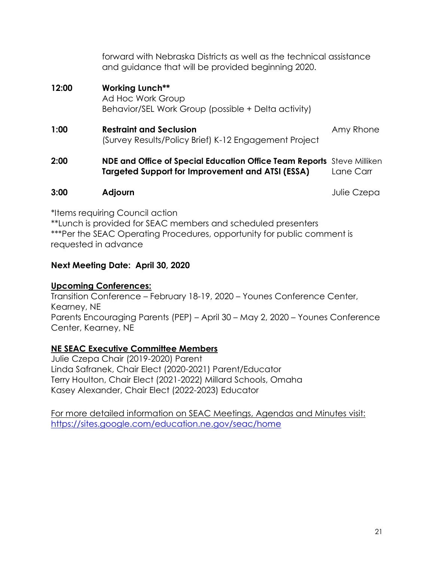| 2:00  | <b>NDE and Office of Special Education Office Team Reports</b> Steve Milliken<br>Targeted Support for Improvement and ATSI (ESSA) | Lane Carr |
|-------|-----------------------------------------------------------------------------------------------------------------------------------|-----------|
| 1:00  | <b>Restraint and Seclusion</b><br>(Survey Results/Policy Brief) K-12 Engagement Project                                           | Amy Rhone |
| 12:00 | <b>Working Lunch**</b><br>Ad Hoc Work Group<br>Behavior/SEL Work Group (possible + Delta activity)                                |           |
|       | forward with Nebraska Districts as well as the technical assistance<br>and guidance that will be provided beginning 2020.         |           |

#### **3:00 Adjourn** Julie Czepa

\*Items requiring Council action \*\*Lunch is provided for SEAC members and scheduled presenters \*\*\*Per the SEAC Operating Procedures, opportunity for public comment is requested in advance

#### **Next Meeting Date: April 30, 2020**

#### **Upcoming Conferences:**

Transition Conference – February 18-19, 2020 – Younes Conference Center, Kearney, NE Parents Encouraging Parents (PEP) – April 30 – May 2, 2020 – Younes Conference Center, Kearney, NE

#### **NE SEAC Executive Committee Members**

Julie Czepa Chair (2019-2020) Parent Linda Safranek, Chair Elect (2020-2021) Parent/Educator Terry Houlton, Chair Elect (2021-2022) Millard Schools, Omaha Kasey Alexander, Chair Elect (2022-2023) Educator

For more detailed information on SEAC Meetings, Agendas and Minutes visit: https://sites.google.com/education.ne.gov/seac/home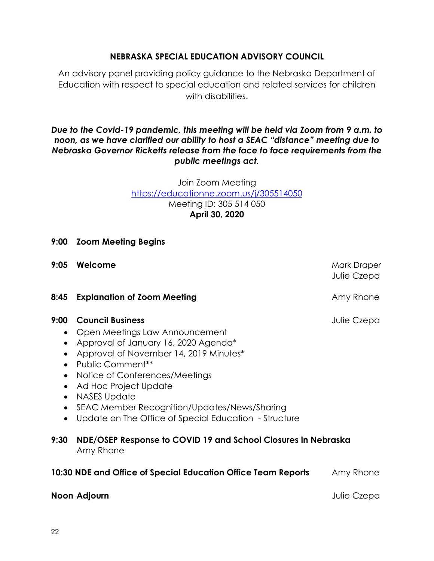#### **NEBRASKA SPECIAL EDUCATION ADVISORY COUNCIL**

An advisory panel providing policy guidance to the Nebraska Department of Education with respect to special education and related services for children with disabilities.

#### *Due to the Covid-19 pandemic, this meeting will be held via Zoom from 9 a.m. to noon, as we have clarified our ability to host a SEAC "distance" meeting due to Nebraska Governor Ricketts release from the face to face requirements from the public meetings act.*

Join Zoom Meeting <https://educationne.zoom.us/j/305514050> Meeting ID: 305 514 050 **April 30, 2020**

- **9:00 Zoom Meeting Begins**
- **9:05 Welcome** Mark Draper Mark Draper Mark Draper

#### **8:45 Explanation of Zoom Meeting Commercial Community Community Amy Rhone**

#### **9:00 Council Business Julie Czepa**

- Open Meetings Law Announcement
- Approval of January 16, 2020 Agenda\*
- Approval of November 14, 2019 Minutes\*
- Public Comment\*\*
- Notice of Conferences/Meetings
- Ad Hoc Project Update
- NASES Update
- SEAC Member Recognition/Updates/News/Sharing
- Update on The Office of Special Education Structure

#### **9:30 NDE/OSEP Response to COVID 19 and School Closures in Nebraska** Amy Rhone

#### **10:30 NDE and Office of Special Education Office Team Reports** Amy Rhone

#### **Noon Adjourn Moon Adjourn Julie Czepa**

Julie Czepa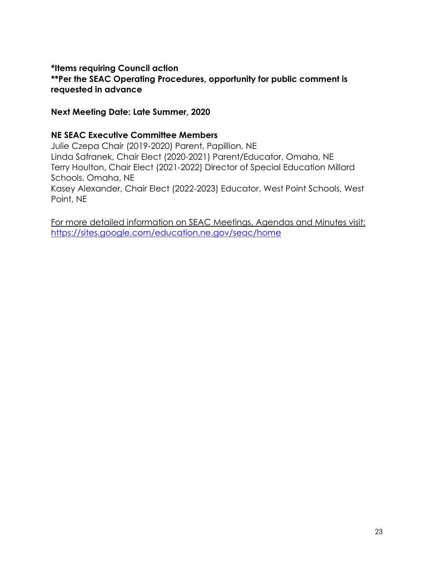#### **\*Items requiring Council action \*\*Per the SEAC Operating Procedures, opportunity for public comment is requested in advance**

#### **Next Meeting Date: Late Summer, 2020**

#### **NE SEAC Executive Committee Members**

Julie Czepa Chair (2019-2020) Parent, Papillion, NE Linda Safranek, Chair Elect (2020-2021) Parent/Educator, Omaha, NE Terry Houlton, Chair Elect (2021-2022) Director of Special Education Millard Schools, Omaha, NE Kasey Alexander, Chair Elect (2022-2023) Educator, West Point Schools, West Point, NE

For more detailed information on SEAC Meetings, Agendas and Minutes visit: <https://sites.google.com/education.ne.gov/seac/home>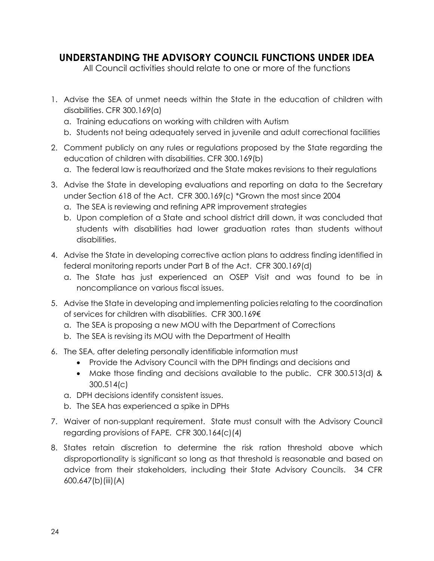## <span id="page-23-0"></span>**UNDERSTANDING THE ADVISORY COUNCIL FUNCTIONS UNDER IDEA**

All Council activities should relate to one or more of the functions

- 1. Advise the SEA of unmet needs within the State in the education of children with disabilities. CFR 300.169(a)
	- a. Training educations on working with children with Autism
	- b. Students not being adequately served in juvenile and adult correctional facilities
- 2. Comment publicly on any rules or regulations proposed by the State regarding the education of children with disabilities. CFR 300.169(b)
	- a. The federal law is reauthorized and the State makes revisions to their regulations
- 3. Advise the State in developing evaluations and reporting on data to the Secretary under Section 618 of the Act. CFR 300.169(c) \*Grown the most since 2004
	- a. The SEA is reviewing and refining APR improvement strategies
	- b. Upon completion of a State and school district drill down, it was concluded that students with disabilities had lower graduation rates than students without disabilities.
- 4. Advise the State in developing corrective action plans to address finding identified in federal monitoring reports under Part B of the Act. CFR 300.169(d)
	- a. The State has just experienced an OSEP Visit and was found to be in noncompliance on various fiscal issues.
- 5. Advise the State in developing and implementing policies relating to the coordination of services for children with disabilities. CFR 300.169€
	- a. The SEA is proposing a new MOU with the Department of Corrections
	- b. The SEA is revising its MOU with the Department of Health
- 6. The SEA, after deleting personally identifiable information must
	- Provide the Advisory Council with the DPH findings and decisions and
	- Make those finding and decisions available to the public. CFR 300.513(d) & 300.514(c)
	- a. DPH decisions identify consistent issues.
	- b. The SEA has experienced a spike in DPHs
- 7. Waiver of non-supplant requirement. State must consult with the Advisory Council regarding provisions of FAPE. CFR 300.164(c)(4)
- 8. States retain discretion to determine the risk ration threshold above which disproportionality is significant so long as that threshold is reasonable and based on advice from their stakeholders, including their State Advisory Councils. 34 CFR 600.647(b)(iii)(A)